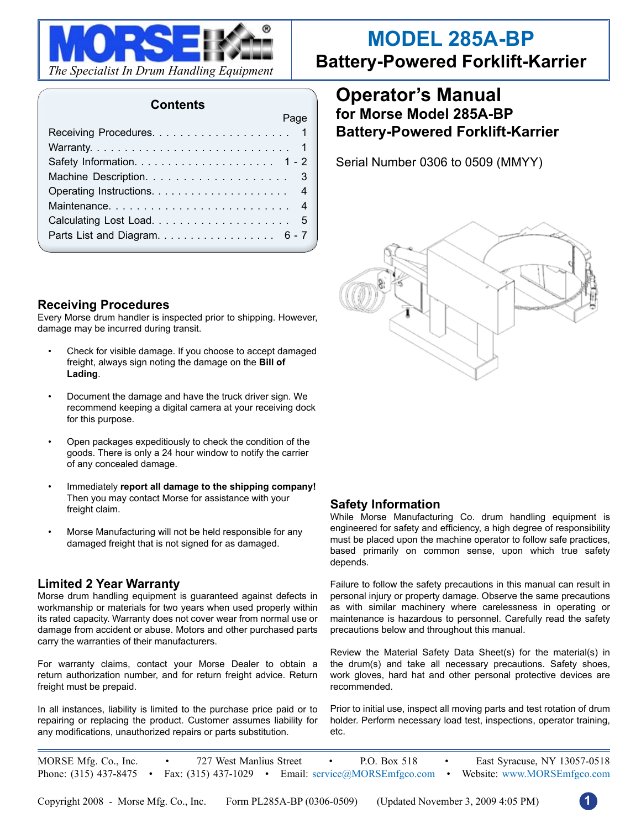

#### **Contents**

| Page                          |
|-------------------------------|
|                               |
|                               |
|                               |
|                               |
|                               |
|                               |
|                               |
| Parts List and Diagram. 6 - 7 |
|                               |

#### **Receiving Procedures**

Every Morse drum handler is inspected prior to shipping. However, damage may be incurred during transit.

- Check for visible damage. If you choose to accept damaged freight, always sign noting the damage on the **Bill of Lading**.
- Document the damage and have the truck driver sign. We recommend keeping a digital camera at your receiving dock for this purpose.
- Open packages expeditiously to check the condition of the goods. There is only a 24 hour window to notify the carrier of any concealed damage.
- Immediately **report all damage to the shipping company!** Then you may contact Morse for assistance with your freight claim.
- Morse Manufacturing will not be held responsible for any damaged freight that is not signed for as damaged.

#### **Limited 2 Year Warranty**

Morse drum handling equipment is guaranteed against defects in workmanship or materials for two years when used properly within its rated capacity. Warranty does not cover wear from normal use or damage from accident or abuse. Motors and other purchased parts carry the warranties of their manufacturers.

For warranty claims, contact your Morse Dealer to obtain a return authorization number, and for return freight advice. Return freight must be prepaid.

In all instances, liability is limited to the purchase price paid or to repairing or replacing the product. Customer assumes liability for any modifications, unauthorized repairs or parts substitution.

# **MODEL 285A-BP**

**Battery-Powered Forklift-Karrier**

## **Operator's Manual for Morse Model 285A-BP Battery-Powered Forklift-Karrier**

Serial Number 0306 to 0509 (MMYY)



#### **Safety Information**

While Morse Manufacturing Co. drum handling equipment is engineered for safety and efficiency, a high degree of responsibility must be placed upon the machine operator to follow safe practices, based primarily on common sense, upon which true safety depends.

Failure to follow the safety precautions in this manual can result in personal injury or property damage. Observe the same precautions as with similar machinery where carelessness in operating or maintenance is hazardous to personnel. Carefully read the safety precautions below and throughout this manual.

Review the Material Safety Data Sheet(s) for the material(s) in the drum(s) and take all necessary precautions. Safety shoes, work gloves, hard hat and other personal protective devices are recommended.

Prior to initial use, inspect all moving parts and test rotation of drum holder. Perform necessary load test, inspections, operator training, etc.

MORSE Mfg. Co., Inc. • 727 West Manlius Street • P.O. Box 518 • East Syracuse, NY 13057-0518 Phone: (315) 437-8475 • Fax: (315) 437-1029 • Email: service@MORSEmfgco.com • Website: www.MORSEmfgco.com

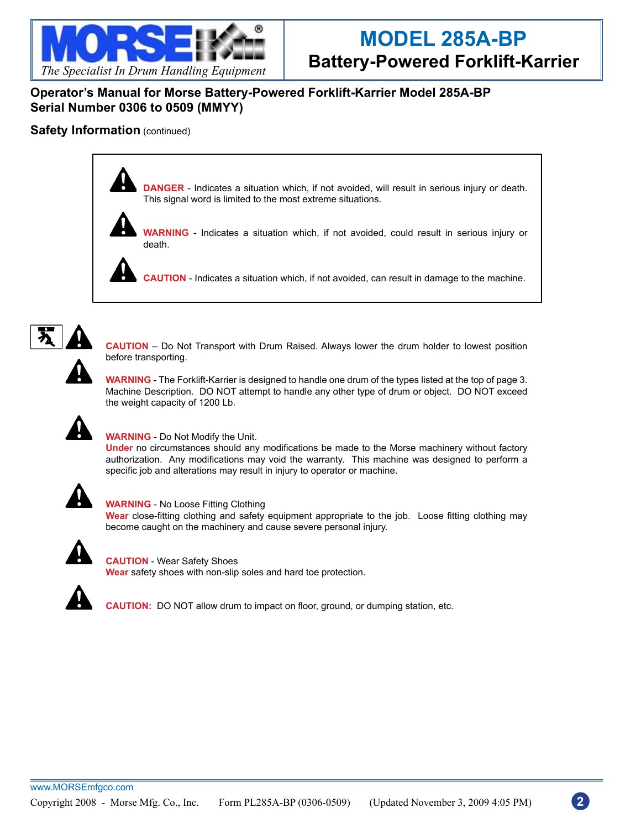

#### **Operator's Manual for Morse Battery-Powered Forklift-Karrier Model 285A-BP Serial Number 0306 to 0509 (MMYY)**

#### **Safety Information** (continued)



**DANGER** - Indicates a situation which, if not avoided, will result in serious injury or death. This signal word is limited to the most extreme situations.



**WARNING** - Indicates a situation which, if not avoided, could result in serious injury or death.

**CAUTION** - Indicates a situation which, if not avoided, can result in damage to the machine.



**CAUTION** – Do Not Transport with Drum Raised. Always lower the drum holder to lowest position before transporting.

**WARNING** - The Forklift-Karrier is designed to handle one drum of the types listed at the top of page 3. Machine Description. DO NOT attempt to handle any other type of drum or object. DO NOT exceed the weight capacity of 1200 Lb.



#### **WARNING** - Do Not Modify the Unit.

**Under** no circumstances should any modifications be made to the Morse machinery without factory authorization. Any modifications may void the warranty. This machine was designed to perform a specific job and alterations may result in injury to operator or machine.



#### **WARNING** - No Loose Fitting Clothing

**Wear** close-fitting clothing and safety equipment appropriate to the job. Loose fitting clothing may become caught on the machinery and cause severe personal injury.



**CAUTION** - Wear Safety Shoes **Wear** safety shoes with non-slip soles and hard toe protection.



**CAUTION:** DO NOT allow drum to impact on floor, ground, or dumping station, etc.

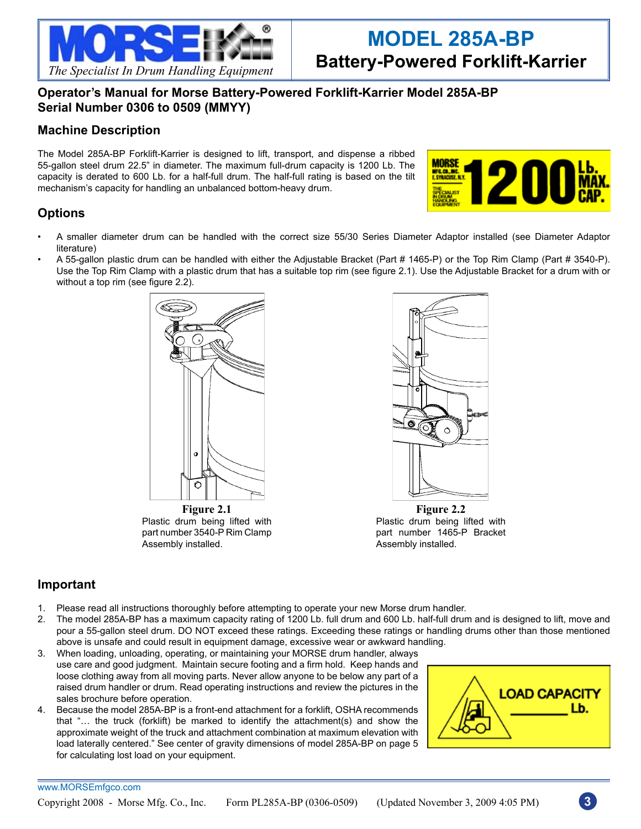

### **Operator's Manual for Morse Battery-Powered Forklift-Karrier Model 285A-BP Serial Number 0306 to 0509 (MMYY)**

### **Machine Description**

The Model 285A-BP Forklift-Karrier is designed to lift, transport, and dispense a ribbed 55-gallon steel drum 22.5" in diameter. The maximum full-drum capacity is 1200 Lb. The capacity is derated to 600 Lb. for a half-full drum. The half-full rating is based on the tilt mechanism's capacity for handling an unbalanced bottom-heavy drum.



## **Options**

- A smaller diameter drum can be handled with the correct size 55/30 Series Diameter Adaptor installed (see Diameter Adaptor literature)
- A 55-gallon plastic drum can be handled with either the Adjustable Bracket (Part # 1465-P) or the Top Rim Clamp (Part # 3540-P). Use the Top Rim Clamp with a plastic drum that has a suitable top rim (see figure 2.1). Use the Adjustable Bracket for a drum with or without a top rim (see figure 2.2).



Plastic drum being lifted with part number 3540-P Rim Clamp Assembly installed.



**Figure 2.2** Plastic drum being lifted with part number 1465-P Bracket Assembly installed.

### **Important**

- 1. Please read all instructions thoroughly before attempting to operate your new Morse drum handler.
- 2. The model 285A-BP has a maximum capacity rating of 1200 Lb. full drum and 600 Lb. half-full drum and is designed to lift, move and pour a 55-gallon steel drum. DO NOT exceed these ratings. Exceeding these ratings or handling drums other than those mentioned above is unsafe and could result in equipment damage, excessive wear or awkward handling.
- 3. When loading, unloading, operating, or maintaining your MORSE drum handler, always use care and good judgment. Maintain secure footing and a firm hold. Keep hands and loose clothing away from all moving parts. Never allow anyone to be below any part of a raised drum handler or drum. Read operating instructions and review the pictures in the sales brochure before operation.
- 4. Because the model 285A-BP is a front-end attachment for a forklift, OSHA recommends that "… the truck (forklift) be marked to identify the attachment(s) and show the approximate weight of the truck and attachment combination at maximum elevation with load laterally centered." See center of gravity dimensions of model 285A-BP on page 5 for calculating lost load on your equipment.



#### www.MORSEmfgco.com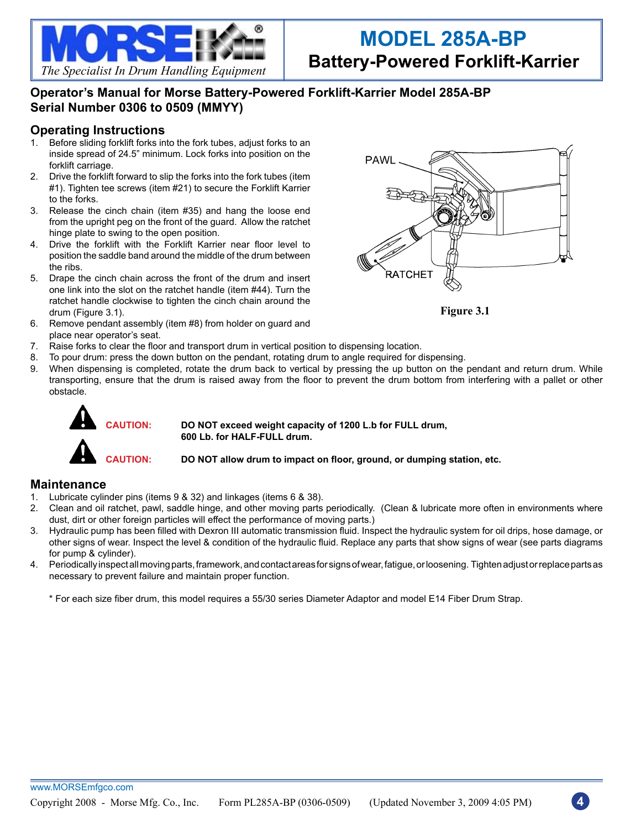

**Operator's Manual for Morse Battery-Powered Forklift-Karrier Model 285A-BP Serial Number 0306 to 0509 (MMYY)**

#### **Operating Instructions**

- 1. Before sliding forklift forks into the fork tubes, adjust forks to an inside spread of 24.5" minimum. Lock forks into position on the forklift carriage.
- 2. Drive the forklift forward to slip the forks into the fork tubes (item #1). Tighten tee screws (item #21) to secure the Forklift Karrier to the forks.
- 3. Release the cinch chain (item #35) and hang the loose end from the upright peg on the front of the guard. Allow the ratchet hinge plate to swing to the open position.
- 4. Drive the forklift with the Forklift Karrier near floor level to position the saddle band around the middle of the drum between the ribs.
- 5. Drape the cinch chain across the front of the drum and insert one link into the slot on the ratchet handle (item #44). Turn the ratchet handle clockwise to tighten the cinch chain around the drum (Figure 3.1).
- 6. Remove pendant assembly (item #8) from holder on guard and place near operator's seat.



**Figure 3.1**

- 7. Raise forks to clear the floor and transport drum in vertical position to dispensing location.
	- 8. To pour drum: press the down button on the pendant, rotating drum to angle required for dispensing.<br>9. When dispensing is completed, rotate the drum back to vertical by pressing the up button on the
	- When dispensing is completed, rotate the drum back to vertical by pressing the up button on the pendant and return drum. While transporting, ensure that the drum is raised away from the floor to prevent the drum bottom from interfering with a pallet or other obstacle.



**CAUTION: DO NOT exceed weight capacity of 1200 L.b for FULL drum, 600 Lb. for HALF-FULL drum.**

**CAUTION: DO NOT allow drum to impact on floor, ground, or dumping station, etc.**

#### **Maintenance**

- 1. Lubricate cylinder pins (items 9 & 32) and linkages (items 6 & 38).
- 2. Clean and oil ratchet, pawl, saddle hinge, and other moving parts periodically. (Clean & lubricate more often in environments where dust, dirt or other foreign particles will effect the performance of moving parts.)
- 3. Hydraulic pump has been filled with Dexron III automatic transmission fluid. Inspect the hydraulic system for oil drips, hose damage, or other signs of wear. Inspect the level & condition of the hydraulic fluid. Replace any parts that show signs of wear (see parts diagrams for pump & cylinder).
- 4. Periodically inspect all moving parts, framework, and contact areas for signs of wear, fatigue, or loosening. Tighten adjust or replace parts as necessary to prevent failure and maintain proper function.

\* For each size fiber drum, this model requires a 55/30 series Diameter Adaptor and model E14 Fiber Drum Strap.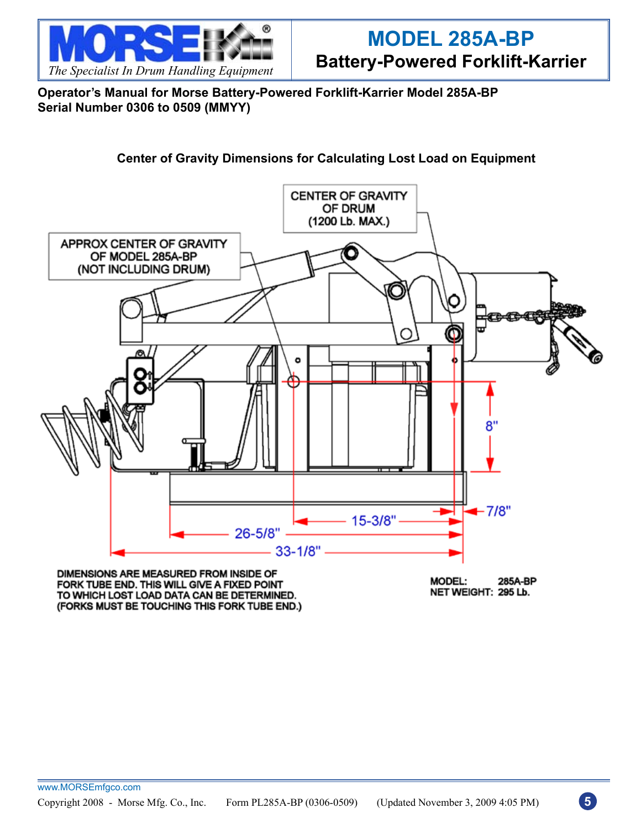

**Operator's Manual for Morse Battery-Powered Forklift-Karrier Model 285A-BP Serial Number 0306 to 0509 (MMYY)**

## **Center of Gravity Dimensions for Calculating Lost Load on Equipment**



DIMENSIONS ARE MEASURED FROM INSIDE OF FORK TUBE END. THIS WILL GIVE A FIXED POINT TO WHICH LOST LOAD DATA CAN BE DETERMINED. (FORKS MUST BE TOUCHING THIS FORK TUBE END.)

**MODEL:** 285A-BP NET WEIGHT: 295 Lb.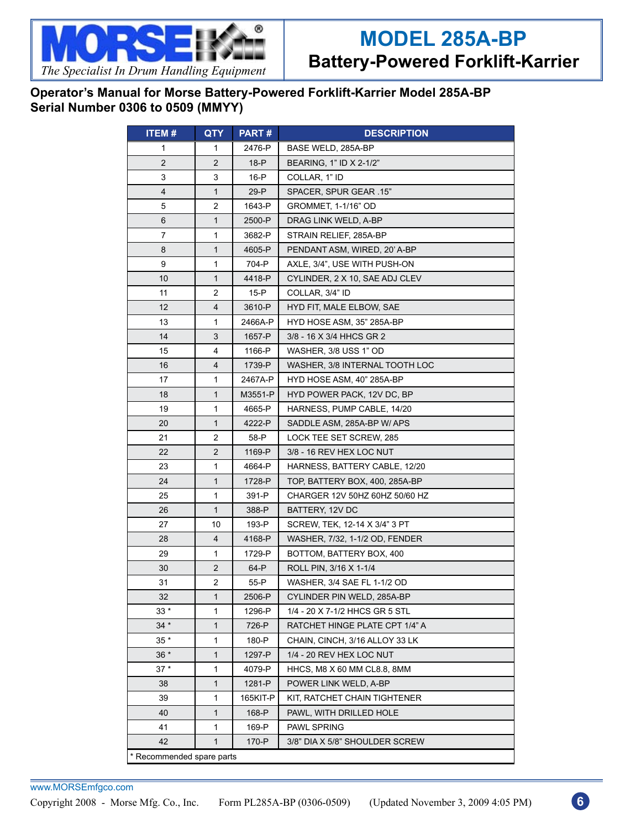

## **Operator's Manual for Morse Battery-Powered Forklift-Karrier Model 285A-BP Serial Number 0306 to 0509 (MMYY)**

| <b>ITEM#</b>              | QTY            | PART#    | <b>DESCRIPTION</b>             |  |  |
|---------------------------|----------------|----------|--------------------------------|--|--|
| 1                         | 1              | 2476-P   | BASE WELD, 285A-BP             |  |  |
| $\overline{2}$            | $\overline{2}$ | $18-P$   | BEARING, 1" ID X 2-1/2"        |  |  |
| 3                         | 3              | 16-P     | COLLAR, 1" ID                  |  |  |
| 4                         | $\mathbf{1}$   | 29-P     | SPACER, SPUR GEAR .15"         |  |  |
| 5                         | 2              | 1643-P   | GROMMET, 1-1/16" OD            |  |  |
| 6                         | $\mathbf{1}$   | 2500-P   | DRAG LINK WELD, A-BP           |  |  |
| 7                         | 1              | 3682-P   | STRAIN RELIEF, 285A-BP         |  |  |
| 8                         | 1              | 4605-P   | PENDANT ASM, WIRED, 20' A-BP   |  |  |
| 9                         | 1              | 704-P    | AXLE, 3/4", USE WITH PUSH-ON   |  |  |
| 10                        | 1              | 4418-P   | CYLINDER, 2 X 10, SAE ADJ CLEV |  |  |
| 11                        | 2              | 15-P     | COLLAR, 3/4" ID                |  |  |
| 12                        | 4              | 3610-P   | HYD FIT, MALE ELBOW, SAE       |  |  |
| 13                        | 1              | 2466A-P  | HYD HOSE ASM, 35" 285A-BP      |  |  |
| 14                        | 3              | 1657-P   | 3/8 - 16 X 3/4 HHCS GR 2       |  |  |
| 15                        | 4              | 1166-P   | WASHER, 3/8 USS 1" OD          |  |  |
| 16                        | 4              | 1739-P   | WASHER, 3/8 INTERNAL TOOTH LOC |  |  |
| 17                        | 1              | 2467A-P  | HYD HOSE ASM, 40" 285A-BP      |  |  |
| 18                        | 1              | M3551-P  | HYD POWER PACK, 12V DC, BP     |  |  |
| 19                        | 1              | 4665-P   | HARNESS, PUMP CABLE, 14/20     |  |  |
| 20                        | $\mathbf{1}$   | 4222-P   | SADDLE ASM, 285A-BP W/ APS     |  |  |
| 21                        | 2              | 58-P     | LOCK TEE SET SCREW, 285        |  |  |
| 22                        | $\overline{2}$ | 1169-P   | 3/8 - 16 REV HEX LOC NUT       |  |  |
| 23                        | 1              | 4664-P   | HARNESS, BATTERY CABLE, 12/20  |  |  |
| 24                        | 1              | 1728-P   | TOP, BATTERY BOX, 400, 285A-BP |  |  |
| 25                        | 1              | 391-P    | CHARGER 12V 50HZ 60HZ 50/60 HZ |  |  |
| 26                        | $\mathbf{1}$   | 388-P    | BATTERY, 12V DC                |  |  |
| 27                        | 10             | 193-P    | SCREW, TEK, 12-14 X 3/4" 3 PT  |  |  |
| 28                        | 4              | 4168-P   | WASHER, 7/32, 1-1/2 OD, FENDER |  |  |
| 29                        | 1              | 1729-P   | BOTTOM, BATTERY BOX, 400       |  |  |
| 30                        | $\overline{2}$ | 64-P     | ROLL PIN, 3/16 X 1-1/4         |  |  |
| 31                        | 2              | 55-P     | WASHER, 3/4 SAE FL 1-1/2 OD    |  |  |
| 32                        | 1              | 2506-P   | CYLINDER PIN WELD, 285A-BP     |  |  |
| $33*$                     | 1              | 1296-P   | 1/4 - 20 X 7-1/2 HHCS GR 5 STL |  |  |
| $34 *$                    | $\mathbf{1}$   | 726-P    | RATCHET HINGE PLATE CPT 1/4" A |  |  |
| $35*$                     | 1              | 180-P    | CHAIN, CINCH, 3/16 ALLOY 33 LK |  |  |
| $36 *$                    | 1              | 1297-P   | 1/4 - 20 REV HEX LOC NUT       |  |  |
| $37*$                     | 1              | 4079-P   | HHCS, M8 X 60 MM CL8.8, 8MM    |  |  |
| 38                        | 1              | 1281-P   | POWER LINK WELD, A-BP          |  |  |
| 39                        | 1              | 165KIT-P | KIT, RATCHET CHAIN TIGHTENER   |  |  |
| 40                        | $\mathbf{1}$   | 168-P    | PAWL, WITH DRILLED HOLE        |  |  |
| 41                        | 1              | 169-P    | PAWL SPRING                    |  |  |
| 42                        | $\mathbf{1}$   | 170-P    | 3/8" DIA X 5/8" SHOULDER SCREW |  |  |
| * Recommended spare parts |                |          |                                |  |  |

www.MORSEmfgco.com